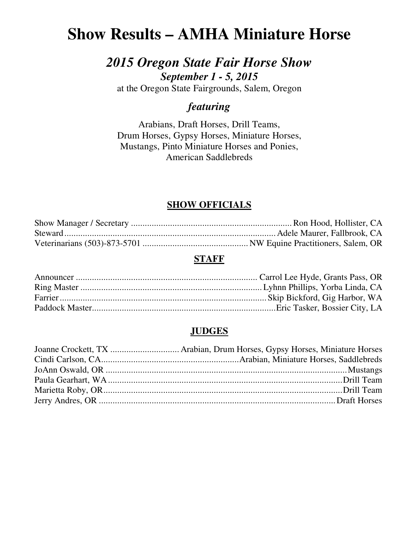# **Show Results – AMHA Miniature Horse**

# *2015 Oregon State Fair Horse Show September 1 - 5, 2015*

at the Oregon State Fairgrounds, Salem, Oregon

# *featuring*

Arabians, Draft Horses, Drill Teams, Drum Horses, Gypsy Horses, Miniature Horses, Mustangs, Pinto Miniature Horses and Ponies, American Saddlebreds

# **SHOW OFFICIALS**

# **STAFF**

# **JUDGES**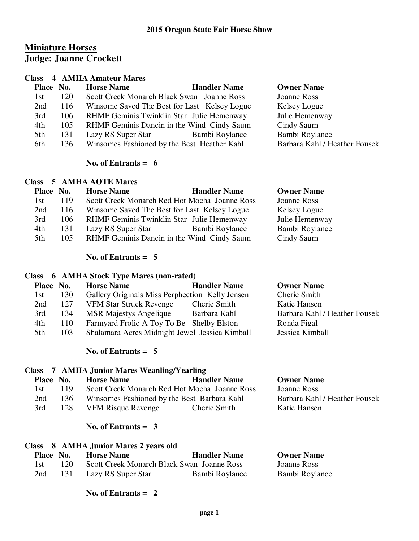# **Miniature Horses Judge: Joanne Crockett**

#### **Class 4 AMHA Amateur Mares**

| Place No. |     | <b>Horse Name</b>                            | <b>Handler Name</b> | <b>Owner Name</b>             |
|-----------|-----|----------------------------------------------|---------------------|-------------------------------|
| 1st       | 120 | Scott Creek Monarch Black Swan Joanne Ross   |                     | Joanne Ross                   |
| 2nd       | 116 | Winsome Saved The Best for Last Kelsey Logue |                     | Kelsey Logue                  |
| 3rd       | 106 | RHMF Geminis Twinklin Star Julie Hemenway    |                     | Julie Hemenway                |
| 4th       | 105 | RHMF Geminis Dancin in the Wind Cindy Saum   |                     | Cindy Saum                    |
| 5th       | 131 | Lazy RS Super Star                           | Bambi Roylance      | Bambi Roylance                |
| 6th       | 136 | Winsomes Fashioned by the Best Heather Kahl  |                     | Barbara Kahl / Heather Fousek |
|           |     |                                              |                     |                               |

#### **No. of Entrants = 6**

#### **Class 5 AMHA AOTE Mares**

| Place No. |      | <b>Horse Name</b>                             | <b>Handler Name</b> | <b>Owner Name</b> |
|-----------|------|-----------------------------------------------|---------------------|-------------------|
| 1st       | 119  | Scott Creek Monarch Red Hot Mocha Joanne Ross |                     | Joanne Ross       |
| 2nd       | 116  | Winsome Saved The Best for Last Kelsey Logue  |                     | Kelsey Logue      |
| 3rd       | 106. | RHMF Geminis Twinklin Star Julie Hemenway     |                     | Julie Hemenway    |
| 4th       | 131  | Lazy RS Super Star                            | Bambi Roylance      | Bambi Roylance    |
| 5th       | 105  | RHMF Geminis Dancin in the Wind Cindy Saum    |                     | Cindy Saum        |

#### **No. of Entrants = 5**

#### **Class 6 AMHA Stock Type Mares (non-rated)**

| Place No. |     | <b>Horse Name</b>                               | <b>Handler Name</b> | <b>Owner Name</b>             |
|-----------|-----|-------------------------------------------------|---------------------|-------------------------------|
| 1st       | 130 | Gallery Originals Miss Perphection Kelly Jensen |                     | Cherie Smith                  |
| 2nd       | 127 | <b>VFM Star Struck Revenge</b>                  | Cherie Smith        | Katie Hansen                  |
| 3rd       | 134 | <b>MSR Majestys Angelique</b>                   | Barbara Kahl        | Barbara Kahl / Heather Fousek |
| 4th       | 110 | Farmyard Frolic A Toy To Be Shelby Elston       |                     | Ronda Figal                   |
| 5th       | 103 | Shalamara Acres Midnight Jewel Jessica Kimball  |                     | Jessica Kimball               |
|           |     |                                                 |                     |                               |

#### **No. of Entrants = 5**

# **Class 7 AMHA Junior Mares Weanling/Yearling Place No. Horse Name Handler Name Owner Name**<br>1st 119 Scott Creek Monarch Red Hot Mocha Joanne Ross Joanne Ross 1st 119 Scott Creek Monarch Red Hot Mocha Joanne Ross Joanne Ross 2nd 136 Winsomes Fashioned by the Best Barbara Kahl Barbara Kahl / Heather Fousek 3rd 128 VFM Risque Revenge Cherie Smith Katie Hansen

#### **No. of Entrants = 3**

#### **Class 8 AMHA Junior Mares 2 years old**

| <b>Place No.</b> |     | <b>Horse Name</b>                          | <b>Handler Name</b> | <b>Owner Name</b> |
|------------------|-----|--------------------------------------------|---------------------|-------------------|
| 1st.             | 120 | Scott Creek Monarch Black Swan Joanne Ross |                     | Joanne Ross       |
| 2nd              | 131 | Lazy RS Super Star                         | Bambi Roylance      | Bambi Roylance    |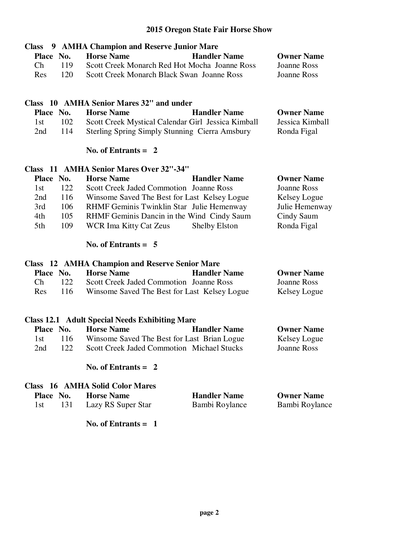| 9 AMHA Champion and Reserve Junior Mare<br><b>Class</b>                                 |                     |                    |
|-----------------------------------------------------------------------------------------|---------------------|--------------------|
| <b>Horse Name</b><br>Place No.                                                          | <b>Handler Name</b> | <b>Owner Name</b>  |
| Ch<br>Scott Creek Monarch Red Hot Mocha Joanne Ross<br>119                              |                     | <b>Joanne Ross</b> |
| 120<br>Scott Creek Monarch Black Swan Joanne Ross<br>Res                                |                     | <b>Joanne Ross</b> |
|                                                                                         |                     |                    |
| Class 10 AMHA Senior Mares 32" and under                                                |                     |                    |
| Place No.<br><b>Horse Name</b>                                                          | <b>Handler Name</b> | <b>Owner Name</b>  |
| Scott Creek Mystical Calendar Girl Jessica Kimball<br>102<br>1st                        |                     | Jessica Kimball    |
| 114<br><b>Sterling Spring Simply Stunning Cierra Amsbury</b><br>2nd                     |                     | Ronda Figal        |
| No. of Entrants $= 2$                                                                   |                     |                    |
| Class 11 AMHA Senior Mares Over 32"-34"                                                 |                     |                    |
| <b>Horse Name</b><br>Place No.                                                          | <b>Handler Name</b> | <b>Owner Name</b>  |
| 122<br>Scott Creek Jaded Commotion Joanne Ross<br>1st                                   |                     | <b>Joanne Ross</b> |
| 116<br>Winsome Saved The Best for Last Kelsey Logue<br>2nd                              |                     | Kelsey Logue       |
| 106<br>RHMF Geminis Twinklin Star Julie Hemenway<br>3rd                                 |                     | Julie Hemenway     |
| 105<br>4th<br>RHMF Geminis Dancin in the Wind Cindy Saum                                |                     | Cindy Saum         |
| 5th<br>109<br><b>WCR Ima Kitty Cat Zeus</b>                                             | Shelby Elston       | Ronda Figal        |
| No. of Entrants $= 5$                                                                   |                     |                    |
| <b>Class</b> 12 AMHA Champion and Reserve Senior Mare                                   |                     |                    |
| Place No.<br><b>Horse Name</b>                                                          | <b>Handler Name</b> | <b>Owner Name</b>  |
| Ch<br>Scott Creek Jaded Commotion Joanne Ross<br>122                                    |                     | <b>Joanne Ross</b> |
| 116<br>Winsome Saved The Best for Last Kelsey Logue<br>Res                              |                     | Kelsey Logue       |
|                                                                                         |                     |                    |
| <b>Class 12.1 Adult Special Needs Exhibiting Mare</b><br><b>Horse Name</b><br>Place No. | <b>Handler Name</b> | <b>Owner Name</b>  |
| 116<br>Winsome Saved The Best for Last Brian Logue<br>1st                               |                     |                    |
|                                                                                         |                     | Kelsey Logue       |

 **No. of Entrants = 2** 

#### **Class 16 AMHA Solid Color Mares**

| Place No. |     | <b>Horse Name</b>  | <b>Handler Name</b> | <b>Owner Name</b> |
|-----------|-----|--------------------|---------------------|-------------------|
| 1st       | 131 | Lazy RS Super Star | Bambi Roylance      | Bambi Roylance    |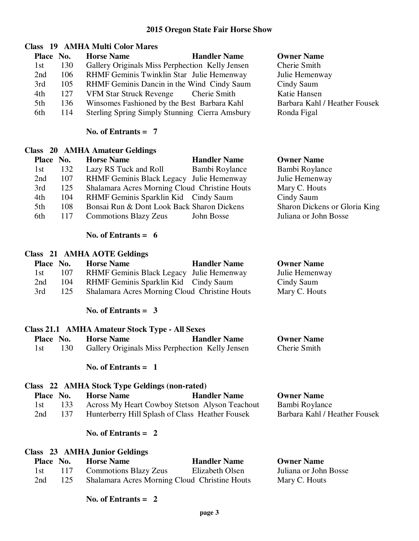**Owner Name** Cherie Smith Julie Hemenway Cindy Saum Katie Hansen

Ronda Figal

Barbara Kahl / Heather Fousek

# **Class 19 AMHA Multi Color Mares**

| Place No. |     | <b>Horse Name</b><br><b>Handler Name</b>        |
|-----------|-----|-------------------------------------------------|
| 1st       | 130 | Gallery Originals Miss Perphection Kelly Jensen |
| 2nd       | 106 | RHMF Geminis Twinklin Star Julie Hemenway       |
| 3rd       | 105 | RHMF Geminis Dancin in the Wind Cindy Saum      |
| 4th       | 127 | <b>VFM Star Struck Revenge</b><br>Cherie Smith  |
| 5th       | 136 | Winsomes Fashioned by the Best Barbara Kahl     |
| 6th.      | 114 | Sterling Spring Simply Stunning Cierra Amsbury  |

#### **No. of Entrants = 7**

#### **Class 20 AMHA Amateur Geldings**

|     | Place No. | <b>Horse Name</b>                             | <b>Handler Name</b> | <b>Owner Name</b>             |
|-----|-----------|-----------------------------------------------|---------------------|-------------------------------|
| 1st | 132       | Lazy RS Tuck and Roll                         | Bambi Roylance      | Bambi Roylance                |
| 2nd | 107       | RHMF Geminis Black Legacy Julie Hemenway      |                     | Julie Hemenway                |
| 3rd | 125       | Shalamara Acres Morning Cloud Christine Houts |                     | Mary C. Houts                 |
| 4th | 104       | RHMF Geminis Sparklin Kid Cindy Saum          |                     | Cindy Saum                    |
| 5th | 108       | Bonsai Run & Dont Look Back Sharon Dickens    |                     | Sharon Dickens or Gloria King |
| 6th | 117       | <b>Commotions Blazy Zeus</b>                  | John Bosse          | Juliana or John Bosse         |

# **No. of Entrants = 6**

# **Class 21 AMHA AOTE Geldings**

| Place No. |     | <b>Horse Name</b>                             | <b>Handler Name</b> | <b>Owner Name</b> |
|-----------|-----|-----------------------------------------------|---------------------|-------------------|
| 1st -     | 107 | RHMF Geminis Black Legacy Julie Hemenway      |                     | Julie Hemenway    |
| 2nd       | 104 | RHMF Geminis Sparklin Kid Cindy Saum          |                     | Cindy Saum        |
| 3rd       | 125 | Shalamara Acres Morning Cloud Christine Houts |                     | Mary C. Houts     |

#### **No. of Entrants = 3**

| Class 21.1 AMHA Amateur Stock Type - All Sexes |     |                                                 |                     |                   |
|------------------------------------------------|-----|-------------------------------------------------|---------------------|-------------------|
| <b>Place No.</b>                               |     | <b>Horse Name</b>                               | <b>Handler Name</b> | <b>Owner Name</b> |
|                                                | 130 | Gallery Originals Miss Perphection Kelly Jensen |                     | Cherie Smith      |

#### **No. of Entrants = 1**

# **Class 22 AMHA Stock Type Geldings (non-rated)**

| Place No. |     | <b>Horse Name</b>                               | <b>Handler Name</b> | <b>Owner Name</b>             |
|-----------|-----|-------------------------------------------------|---------------------|-------------------------------|
| 1st       | 133 | Across My Heart Cowboy Stetson Alyson Teachout  |                     | Bambi Roylance                |
| 2nd       | 137 | Hunterberry Hill Splash of Class Heather Fousek |                     | Barbara Kahl / Heather Fousek |

#### **No. of Entrants = 2**

| Class 23 AMHA Junior Geldings |           |                                               |                     |                       |  |
|-------------------------------|-----------|-----------------------------------------------|---------------------|-----------------------|--|
|                               | Place No. | <b>Horse Name</b>                             | <b>Handler Name</b> | <b>Owner Name</b>     |  |
| 1st –                         | -117      | <b>Commotions Blazy Zeus</b>                  | Elizabeth Olsen     | Juliana or John Bosse |  |
| 2nd                           | 125       | Shalamara Acres Morning Cloud Christine Houts |                     | Mary C. Houts         |  |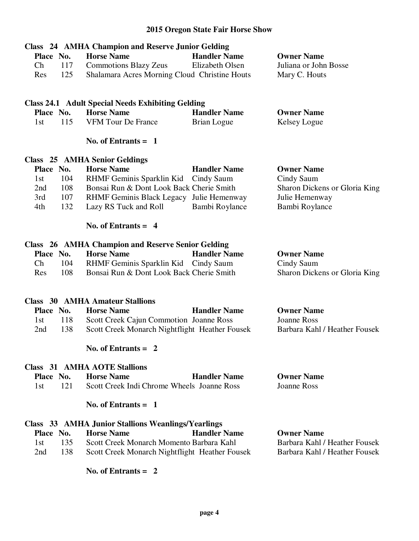| Place No.<br>Ch<br>117<br>125<br>Res | <b>Class</b> 24 AMHA Champion and Reserve Junior Gelding<br><b>Horse Name</b><br><b>Commotions Blazy Zeus</b><br>Shalamara Acres Morning Cloud Christine Houts | <b>Handler Name</b><br>Elizabeth Olsen | <b>Owner Name</b><br>Juliana or John Bosse<br>Mary C. Houts |
|--------------------------------------|----------------------------------------------------------------------------------------------------------------------------------------------------------------|----------------------------------------|-------------------------------------------------------------|
|                                      | <b>Class 24.1 Adult Special Needs Exhibiting Gelding</b>                                                                                                       |                                        |                                                             |
| Place No.                            | <b>Horse Name</b>                                                                                                                                              | <b>Handler Name</b>                    | <b>Owner Name</b>                                           |
| 115<br>1st                           | <b>VFM Tour De France</b>                                                                                                                                      | Brian Logue                            | Kelsey Logue                                                |
|                                      | No. of Entrants $= 1$                                                                                                                                          |                                        |                                                             |
|                                      | <b>Class</b> 25 AMHA Senior Geldings                                                                                                                           |                                        |                                                             |
| Place No.                            | <b>Horse Name</b>                                                                                                                                              | <b>Handler Name</b>                    | <b>Owner Name</b>                                           |
| 104<br>1st                           | RHMF Geminis Sparklin Kid                                                                                                                                      | Cindy Saum                             | Cindy Saum                                                  |
| 108<br>2nd                           | Bonsai Run & Dont Look Back Cherie Smith                                                                                                                       |                                        | Sharon Dickens or Gloria King                               |
| 3rd<br>107                           | RHMF Geminis Black Legacy Julie Hemenway                                                                                                                       |                                        | Julie Hemenway                                              |
| 132<br>4th                           | Lazy RS Tuck and Roll                                                                                                                                          | Bambi Roylance                         | Bambi Roylance                                              |
|                                      | No. of Entrants $= 4$                                                                                                                                          |                                        |                                                             |
|                                      | <b>Class</b> 26 AMHA Champion and Reserve Senior Gelding                                                                                                       |                                        |                                                             |
| Place No.                            | <b>Horse Name</b>                                                                                                                                              | <b>Handler Name</b>                    | <b>Owner Name</b>                                           |
| Ch<br>104                            | RHMF Geminis Sparklin Kid                                                                                                                                      | Cindy Saum                             | Cindy Saum                                                  |
| 108<br>Res                           | Bonsai Run & Dont Look Back Cherie Smith                                                                                                                       |                                        | Sharon Dickens or Gloria King                               |
|                                      | <b>Class</b> 30 AMHA Amateur Stallions                                                                                                                         |                                        |                                                             |
| Place No.                            | <b>Horse Name</b>                                                                                                                                              | <b>Handler Name</b>                    | <b>Owner Name</b>                                           |
| 118<br>1st                           | Scott Creek Cajun Commotion Joanne Ross                                                                                                                        |                                        | <b>Joanne Ross</b>                                          |
| 138<br>2nd                           | Scott Creek Monarch Nightflight Heather Fousek                                                                                                                 |                                        | Barbara Kahl / Heather Fousek                               |
|                                      |                                                                                                                                                                |                                        |                                                             |
|                                      | No. of Entrants $= 2$                                                                                                                                          |                                        |                                                             |
|                                      | <b>Class</b> 31 AMHA AOTE Stallions                                                                                                                            |                                        |                                                             |
| Place No.                            | <b>Horse Name</b>                                                                                                                                              | <b>Handler Name</b>                    | <b>Owner Name</b>                                           |
| 121<br>1st                           | Scott Creek Indi Chrome Wheels Joanne Ross                                                                                                                     |                                        | Joanne Ross                                                 |
|                                      | No. of Entrants $= 1$                                                                                                                                          |                                        |                                                             |
|                                      | <b>Class 33 AMHA Junior Stallions Weanlings/Yearlings</b>                                                                                                      |                                        |                                                             |
| Place No.                            | <b>Horse Name</b>                                                                                                                                              | <b>Handler Name</b>                    | <b>Owner Name</b>                                           |
| 135<br>1st                           | Scott Creek Monarch Momento Barbara Kahl                                                                                                                       |                                        | Barbara Kahl / Heather Fousek                               |
| 138<br>2nd                           | Scott Creek Monarch Nightflight Heather Fousek                                                                                                                 |                                        | Barbara Kahl / Heather Fousek                               |
|                                      | No. of Entrants $= 2$                                                                                                                                          |                                        |                                                             |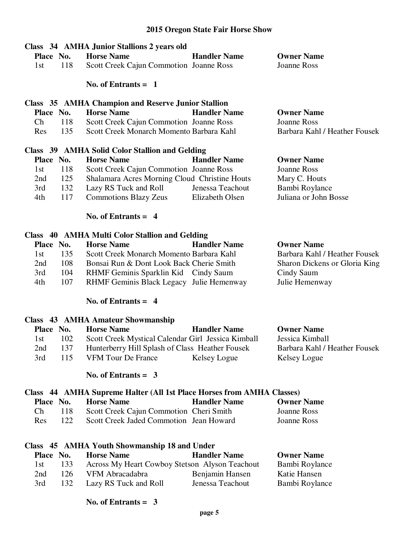| Place No.<br>1st | 118 | Class 34 AMHA Junior Stallions 2 years old<br><b>Horse Name</b><br>Scott Creek Cajun Commotion Joanne Ross<br>No. of Entrants $= 1$                                                                                                                                                                                                                                                  | <b>Handler Name</b> | <b>Owner Name</b><br>Joanne Ross |
|------------------|-----|--------------------------------------------------------------------------------------------------------------------------------------------------------------------------------------------------------------------------------------------------------------------------------------------------------------------------------------------------------------------------------------|---------------------|----------------------------------|
|                  |     |                                                                                                                                                                                                                                                                                                                                                                                      |                     |                                  |
|                  |     | <b>Class</b> 35 AMHA Champion and Reserve Junior Stallion                                                                                                                                                                                                                                                                                                                            |                     |                                  |
| Place No.        |     | <b>Horse Name</b>                                                                                                                                                                                                                                                                                                                                                                    | <b>Handler Name</b> | <b>Owner Name</b>                |
| Ch               | 118 | Scott Creek Cajun Commotion Joanne Ross                                                                                                                                                                                                                                                                                                                                              |                     | Joanne Ross                      |
| Res              | 135 | Scott Creek Monarch Momento Barbara Kahl                                                                                                                                                                                                                                                                                                                                             |                     | Barbara Kahl / Heather Fousek    |
|                  |     | Class 39 AMHA Solid Color Stallion and Gelding                                                                                                                                                                                                                                                                                                                                       |                     |                                  |
| Place No.        |     | <b>Horse Name</b>                                                                                                                                                                                                                                                                                                                                                                    | <b>Handler Name</b> | <b>Owner Name</b>                |
| 1st              | 118 | Scott Creek Cajun Commotion Joanne Ross                                                                                                                                                                                                                                                                                                                                              |                     | Joanne Ross                      |
| 2nd              | 125 | Shalamara Acres Morning Cloud Christine Houts                                                                                                                                                                                                                                                                                                                                        |                     | Mary C. Houts                    |
| 3rd              | 132 | Lazy RS Tuck and Roll                                                                                                                                                                                                                                                                                                                                                                | Jenessa Teachout    | Bambi Roylance                   |
| 4th              | 117 | Commotions Blazy Zeus Elizabeth Olsen                                                                                                                                                                                                                                                                                                                                                |                     | Juliana or John Bosse            |
|                  |     | No. of Entrants $= 4$                                                                                                                                                                                                                                                                                                                                                                |                     |                                  |
|                  |     | Class 40 AMHA Multi Color Stallion and Gelding                                                                                                                                                                                                                                                                                                                                       |                     |                                  |
| Place No.        |     | <b>Horse Name</b>                                                                                                                                                                                                                                                                                                                                                                    | <b>Handler Name</b> | <b>Owner Name</b>                |
|                  |     | $\overline{1}$ $\overline{1}$ $\overline{1}$ $\overline{1}$ $\overline{1}$ $\overline{1}$ $\overline{1}$ $\overline{1}$ $\overline{1}$ $\overline{1}$ $\overline{1}$ $\overline{1}$ $\overline{1}$ $\overline{1}$ $\overline{1}$ $\overline{1}$ $\overline{1}$ $\overline{1}$ $\overline{1}$ $\overline{1}$ $\overline{1}$ $\overline{1}$ $\overline{1}$ $\overline{1}$ $\overline{$ |                     |                                  |

 1st 135 Scott Creek Monarch Momento Barbara Kahl Barbara Kahl / Heather Fousek 2nd 108 Bonsai Run & Dont Look Back Cherie Smith Sharon Dickens or Gloria King 3rd 104 RHMF Geminis Sparklin Kid Cindy Saum Cindy Saum 4th 107 RHMF Geminis Black Legacy Julie Hemenway Julie Hemenway

#### **No. of Entrants = 4**

#### **Class 43 AMHA Amateur Showmanship**

| Place No. |     | <b>Horse Name</b>                                  | <b>Handler Name</b> | <b>Owner Name</b>             |
|-----------|-----|----------------------------------------------------|---------------------|-------------------------------|
| 1st       | 102 | Scott Creek Mystical Calendar Girl Jessica Kimball |                     | Jessica Kimball               |
| 2nd       | 137 | Hunterberry Hill Splash of Class Heather Fousek    |                     | Barbara Kahl / Heather Fousek |
| 3rd       | 115 | <b>VFM Tour De France</b>                          | Kelsey Logue        | Kelsey Logue                  |

#### **No. of Entrants = 3**

# **Class 44 AMHA Supreme Halter (All 1st Place Horses from AMHA Classes)**

| Place No. |       | <b>Horse Name</b>                       | <b>Handler Name</b> | <b>Owner Name</b> |
|-----------|-------|-----------------------------------------|---------------------|-------------------|
| Ch.       | 118 - | Scott Creek Cajun Commotion Cheri Smith |                     | Joanne Ross       |
| Res.      | 122.  | Scott Creek Jaded Commotion Jean Howard |                     | Joanne Ross       |

|       |           | Class 45 AMHA Youth Showmanship 18 and Under   |                     |                   |
|-------|-----------|------------------------------------------------|---------------------|-------------------|
|       | Place No. | <b>Horse Name</b>                              | <b>Handler Name</b> | <b>Owner Name</b> |
| 1st - | 133       | Across My Heart Cowboy Stetson Alyson Teachout |                     | Bambi Roylance    |
| 2nd   | 126       | VFM Abracadabra                                | Benjamin Hansen     | Katie Hansen      |
| 3rd   | 132       | Lazy RS Tuck and Roll                          | Jenessa Teachout    | Bambi Roylance    |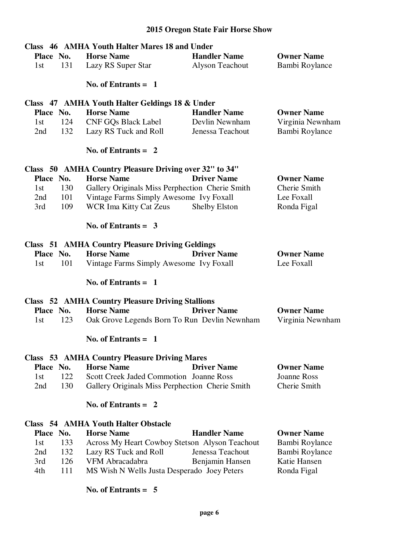|            | Class 46 AMHA Youth Halter Mares 18 and Under           |                     |                    |
|------------|---------------------------------------------------------|---------------------|--------------------|
| Place No.  | <b>Horse Name</b>                                       | <b>Handler Name</b> | <b>Owner Name</b>  |
| 131<br>1st | Lazy RS Super Star                                      | Alyson Teachout     | Bambi Roylance     |
|            | No. of Entrants $= 1$                                   |                     |                    |
|            | Class 47 AMHA Youth Halter Geldings 18 & Under          |                     |                    |
| Place No.  | <b>Horse Name</b>                                       | <b>Handler Name</b> | <b>Owner Name</b>  |
| 124<br>1st | <b>CNF GQs Black Label</b>                              | Devlin Newnham      | Virginia Newnham   |
| 132<br>2nd | Lazy RS Tuck and Roll                                   | Jenessa Teachout    | Bambi Roylance     |
|            | No. of Entrants $= 2$                                   |                     |                    |
|            | Class 50 AMHA Country Pleasure Driving over 32" to 34"  |                     |                    |
| Place No.  | <b>Horse Name</b>                                       | <b>Driver Name</b>  | <b>Owner Name</b>  |
| 130<br>1st | Gallery Originals Miss Perphection Cherie Smith         |                     | Cherie Smith       |
| 101<br>2nd | Vintage Farms Simply Awesome Ivy Foxall                 |                     | Lee Foxall         |
| 109<br>3rd | <b>WCR Ima Kitty Cat Zeus</b>                           | Shelby Elston       | Ronda Figal        |
|            | No. of Entrants $=$ 3                                   |                     |                    |
|            | <b>Class 51 AMHA Country Pleasure Driving Geldings</b>  |                     |                    |
| Place No.  | <b>Horse Name</b>                                       | <b>Driver Name</b>  | <b>Owner Name</b>  |
| 101<br>1st | Vintage Farms Simply Awesome Ivy Foxall                 |                     | Lee Foxall         |
|            | No. of Entrants $=$ 1                                   |                     |                    |
|            | <b>Class</b> 52 AMHA Country Pleasure Driving Stallions |                     |                    |
| Place No.  | <b>Horse Name</b>                                       | <b>Driver Name</b>  | <b>Owner Name</b>  |
| 123<br>1st | Oak Grove Legends Born To Run Devlin Newnham            |                     | Virginia Newnham   |
|            | No. of Entrants $= 1$                                   |                     |                    |
|            | <b>Class 53 AMHA Country Pleasure Driving Mares</b>     |                     |                    |
| Place No.  | <b>Horse Name</b>                                       | <b>Driver Name</b>  | <b>Owner Name</b>  |
| 122<br>1st | <b>Scott Creek Jaded Commotion Joanne Ross</b>          |                     | <b>Joanne Ross</b> |
| 130<br>2nd | Gallery Originals Miss Perphection Cherie Smith         |                     | Cherie Smith       |
|            | No. of Entrants $= 2$                                   |                     |                    |
|            | <b>Class 54 AMHA Youth Halter Obstacle</b>              |                     |                    |
| Place No.  | <b>Horse Name</b>                                       | <b>Handler Name</b> | <b>Owner Name</b>  |
| 133<br>1st | Across My Heart Cowboy Stetson Alyson Teachout          |                     | Bambi Roylance     |
| 132<br>2nd | Lazy RS Tuck and Roll                                   | Jenessa Teachout    | Bambi Roylance     |
| 126<br>3rd | VFM Abracadabra                                         | Benjamin Hansen     | Katie Hansen       |
| 111<br>4th | MS Wish N Wells Justa Desperado Joey Peters             |                     | Ronda Figal        |
|            | No. of Entrants $= 5$                                   |                     |                    |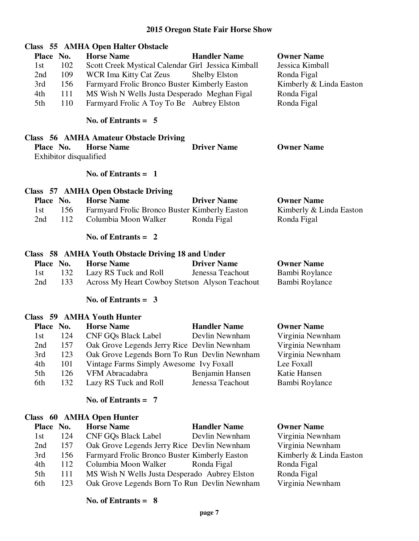|                        | Class 55 AMHA Open Halter Obstacle                 |                      |                         |
|------------------------|----------------------------------------------------|----------------------|-------------------------|
| Place No.              | <b>Horse Name</b>                                  | <b>Handler Name</b>  | <b>Owner Name</b>       |
| 102<br>1st             | Scott Creek Mystical Calendar Girl Jessica Kimball |                      | Jessica Kimball         |
| 109<br>2nd             | <b>WCR Ima Kitty Cat Zeus</b>                      | <b>Shelby Elston</b> | Ronda Figal             |
| 156<br>3rd             | Farmyard Frolic Bronco Buster Kimberly Easton      |                      | Kimberly & Linda Easton |
| 111<br>4th             | MS Wish N Wells Justa Desperado Meghan Figal       |                      | Ronda Figal             |
| 110<br>5th             | Farmyard Frolic A Toy To Be Aubrey Elston          |                      | Ronda Figal             |
|                        | No. of Entrants $= 5$                              |                      |                         |
|                        | Class 56 AMHA Amateur Obstacle Driving             |                      |                         |
| Place No.              | <b>Horse Name</b>                                  | <b>Driver Name</b>   | <b>Owner Name</b>       |
| Exhibitor disqualified |                                                    |                      |                         |
|                        | No. of Entrants $=$ 1                              |                      |                         |
|                        | Class 57 AMHA Open Obstacle Driving                |                      |                         |
| Place No.              | <b>Horse Name</b>                                  | <b>Driver Name</b>   | <b>Owner Name</b>       |
| 156<br>1st             | Farmyard Frolic Bronco Buster Kimberly Easton      |                      | Kimberly & Linda Easton |
| 112<br>2nd             | Columbia Moon Walker                               | Ronda Figal          | Ronda Figal             |
|                        | No. of Entrants $= 2$                              |                      |                         |
|                        | Class 58 AMHA Youth Obstacle Driving 18 and Under  |                      |                         |
| Place No.              | <b>Horse Name</b>                                  | <b>Driver Name</b>   | <b>Owner Name</b>       |
| 132<br>1st             | Lazy RS Tuck and Roll                              | Jenessa Teachout     | Bambi Roylance          |
| 133<br>2nd             | Across My Heart Cowboy Stetson Alyson Teachout     |                      | Bambi Roylance          |
|                        | No. of Entrants = $3$                              |                      |                         |
|                        | Class 59 AMHA Youth Hunter                         |                      |                         |
| Place No.              | <b>Horse Name</b>                                  | <b>Handler Name</b>  | <b>Owner Name</b>       |
| 124<br>1st             | <b>CNF GQs Black Label</b>                         | Devlin Newnham       | Virginia Newnham        |
| 157<br>2nd             | Oak Grove Legends Jerry Rice Devlin Newnham        |                      | Virginia Newnham        |
| 3rd<br>123             | Oak Grove Legends Born To Run Devlin Newnham       |                      | Virginia Newnham        |
| 4th<br>101             | Vintage Farms Simply Awesome Ivy Foxall            |                      | Lee Foxall              |
| 5th<br>126             | VFM Abracadabra                                    | Benjamin Hansen      | Katie Hansen            |
| 132<br>6th             | Lazy RS Tuck and Roll                              | Jenessa Teachout     | Bambi Roylance          |
|                        | No. of Entrants $= 7$                              |                      |                         |
|                        | Class 60 AMHA Open Hunter                          |                      |                         |

| Place No. | <b>Horse Name</b>          | <b>Handler Name</b> | <b>Owner Name</b>                                                                                                                                                                                                                                   |
|-----------|----------------------------|---------------------|-----------------------------------------------------------------------------------------------------------------------------------------------------------------------------------------------------------------------------------------------------|
| 124       | <b>CNF GQs Black Label</b> |                     | Virginia Newnham                                                                                                                                                                                                                                    |
| 157       |                            |                     | Virginia Newnham                                                                                                                                                                                                                                    |
| 156       |                            |                     | Kimberly & Linda Easton                                                                                                                                                                                                                             |
| 112       |                            |                     | Ronda Figal                                                                                                                                                                                                                                         |
| 111       |                            |                     | Ronda Figal                                                                                                                                                                                                                                         |
| 123       |                            |                     | Virginia Newnham                                                                                                                                                                                                                                    |
|           |                            |                     | Devlin Newnham<br>Oak Grove Legends Jerry Rice Devlin Newnham<br>Farmyard Frolic Bronco Buster Kimberly Easton<br>Columbia Moon Walker Ronda Figal<br>MS Wish N Wells Justa Desperado Aubrey Elston<br>Oak Grove Legends Born To Run Devlin Newnham |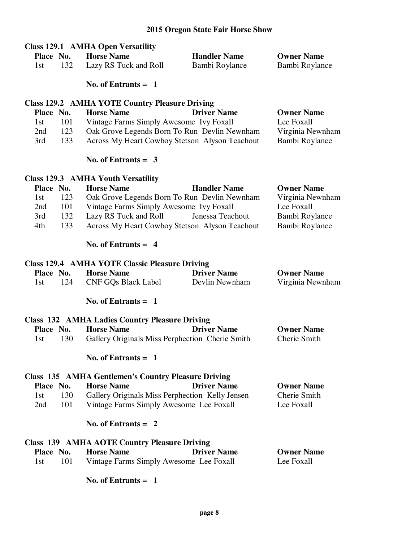|           |           | <b>Class 129.1 AMHA Open Versatility</b>                   |                     |                   |
|-----------|-----------|------------------------------------------------------------|---------------------|-------------------|
| Place No. |           | <b>Horse Name</b>                                          | <b>Handler Name</b> | <b>Owner Name</b> |
| 1st       | 132       | Lazy RS Tuck and Roll                                      | Bambi Roylance      | Bambi Roylance    |
|           |           | No. of Entrants $= 1$                                      |                     |                   |
|           |           | <b>Class 129.2 AMHA YOTE Country Pleasure Driving</b>      |                     |                   |
| Place No. |           | <b>Horse Name</b>                                          | <b>Driver Name</b>  | <b>Owner Name</b> |
| 1st       | 101       | Vintage Farms Simply Awesome Ivy Foxall                    |                     | Lee Foxall        |
| 2nd       | 123       | Oak Grove Legends Born To Run Devlin Newnham               |                     | Virginia Newnham  |
| 3rd       | 133       | Across My Heart Cowboy Stetson Alyson Teachout             |                     | Bambi Roylance    |
|           |           | No. of Entrants = $3$                                      |                     |                   |
|           |           | <b>Class 129.3 AMHA Youth Versatility</b>                  |                     |                   |
| Place No. |           | <b>Horse Name</b>                                          | <b>Handler Name</b> | <b>Owner Name</b> |
| 1st       | 123       | Oak Grove Legends Born To Run Devlin Newnham               |                     | Virginia Newnham  |
| 2nd       | 101       | Vintage Farms Simply Awesome Ivy Foxall                    |                     | Lee Foxall        |
| 3rd       | 132       | Lazy RS Tuck and Roll                                      | Jenessa Teachout    | Bambi Roylance    |
| 4th       | 133       | Across My Heart Cowboy Stetson Alyson Teachout             |                     | Bambi Roylance    |
|           |           | No. of Entrants $= 4$                                      |                     |                   |
|           |           | <b>Class 129.4 AMHA YOTE Classic Pleasure Driving</b>      |                     |                   |
| Place No. |           | <b>Horse Name</b>                                          | <b>Driver Name</b>  | <b>Owner Name</b> |
| 1st       | 124       | <b>CNF GQs Black Label</b>                                 | Devlin Newnham      | Virginia Newnham  |
|           |           | No. of Entrants $= 1$                                      |                     |                   |
|           |           | <b>Class 132 AMHA Ladies Country Pleasure Driving</b>      |                     |                   |
| Place No. |           | <b>Horse Name</b>                                          | <b>Driver Name</b>  | <b>Owner Name</b> |
| 1st       | 130       | Gallery Originals Miss Perphection Cherie Smith            |                     | Cherie Smith      |
|           |           | No. of Entrants $= 1$                                      |                     |                   |
|           |           | <b>Class 135 AMHA Gentlemen's Country Pleasure Driving</b> |                     |                   |
|           | Place No. | <b>Horse Name</b>                                          | <b>Driver Name</b>  | <b>Owner Name</b> |
| 1st       | 130       | Gallery Originals Miss Perphection Kelly Jensen            |                     | Cherie Smith      |
| 2nd       | 101       | Vintage Farms Simply Awesome Lee Foxall                    |                     | Lee Foxall        |
|           |           | No. of Entrants $= 2$                                      |                     |                   |
|           |           | <b>Class 139 AMHA AOTE Country Pleasure Driving</b>        |                     |                   |
| Place No. |           | <b>Horse Name</b>                                          | <b>Driver Name</b>  | <b>Owner Name</b> |
| 1st       | 101       | Vintage Farms Simply Awesome Lee Foxall                    |                     | Lee Foxall        |
|           |           | No. of Entrants $= 1$                                      |                     |                   |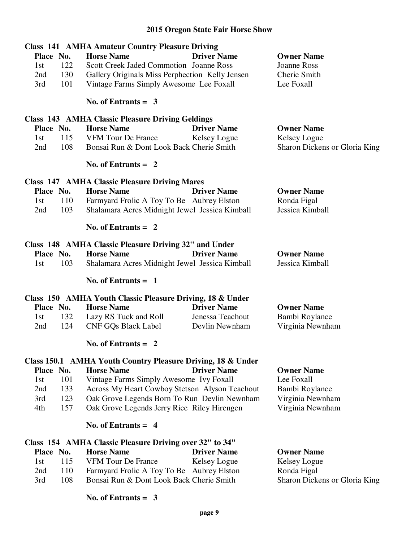|           |     | <b>Class 141 AMHA Amateur Country Pleasure Driving</b>      |                      |                               |
|-----------|-----|-------------------------------------------------------------|----------------------|-------------------------------|
| Place No. |     | <b>Horse Name</b>                                           | <b>Driver Name</b>   | <b>Owner Name</b>             |
| 1st       | 122 | <b>Scott Creek Jaded Commotion Joanne Ross</b>              |                      | Joanne Ross                   |
| 2nd       | 130 | Gallery Originals Miss Perphection Kelly Jensen             |                      | Cherie Smith                  |
| 3rd       | 101 | Vintage Farms Simply Awesome Lee Foxall                     |                      | Lee Foxall                    |
|           |     | No. of Entrants = $3$                                       |                      |                               |
|           |     | <b>Class 143 AMHA Classic Pleasure Driving Geldings</b>     |                      |                               |
| Place No. |     | <b>Horse Name</b>                                           | <b>Driver Name</b>   | <b>Owner Name</b>             |
| 1st       | 115 | VFM Tour De France                                          | Kelsey Logue         | Kelsey Logue                  |
| 2nd       | 108 | Bonsai Run & Dont Look Back Cherie Smith                    |                      | Sharon Dickens or Gloria King |
|           |     | No. of Entrants $= 2$                                       |                      |                               |
|           |     | <b>Class 147 AMHA Classic Pleasure Driving Mares</b>        |                      |                               |
| Place No. |     | <b>Horse Name</b>                                           | <b>Driver Name</b>   | <b>Owner Name</b>             |
| 1st       | 110 | Farmyard Frolic A Toy To Be Aubrey Elston                   |                      | Ronda Figal                   |
| 2nd       | 103 | Shalamara Acres Midnight Jewel Jessica Kimball              |                      | Jessica Kimball               |
|           |     | No. of Entrants = $2$                                       |                      |                               |
|           |     | Class 148 AMHA Classic Pleasure Driving 32" and Under       |                      |                               |
| Place No. |     | <b>Horse Name</b>                                           | <b>Driver Name</b>   | <b>Owner Name</b>             |
| 1st       | 103 | Shalamara Acres Midnight Jewel Jessica Kimball              |                      | Jessica Kimball               |
|           |     | No. of Entrants $= 1$                                       |                      |                               |
|           |     | Class 150 AMHA Youth Classic Pleasure Driving, 18 & Under   |                      |                               |
| Place No. |     | <b>Horse Name</b>                                           | <b>Driver Name</b>   | <b>Owner Name</b>             |
| 1st       | 132 | Lazy RS Tuck and Roll                                       | Jenessa Teachout     | Bambi Roylance                |
| 2nd       | 124 | <b>CNF GQs Black Label</b>                                  | Devlin Newnham       | Virginia Newnham              |
|           |     | No. of Entrants $= 2$                                       |                      |                               |
|           |     | Class 150.1 AMHA Youth Country Pleasure Driving, 18 & Under |                      |                               |
| Place No. |     | <b>Horse Name</b>                                           | <b>Driver Name</b>   | <b>Owner Name</b>             |
| 1st       | 101 | Vintage Farms Simply Awesome Ivy Foxall                     |                      | Lee Foxall                    |
| 2nd       | 133 | Across My Heart Cowboy Stetson Alyson Teachout              |                      | Bambi Roylance                |
| 3rd       | 123 | Oak Grove Legends Born To Run Devlin Newnham                |                      | Virginia Newnham              |
| 4th       | 157 | Oak Grove Legends Jerry Rice Riley Hirengen                 |                      | Virginia Newnham              |
|           |     | No. of Entrants $= 4$                                       |                      |                               |
|           |     | Class 154 AMHA Classic Pleasure Driving over 32" to 34"     |                      |                               |
| Place No. |     | <b>Horse Name</b>                                           | <b>Driver Name</b>   | <b>Owner Name</b>             |
| 1st       | 115 | <b>VFM Tour De France</b>                                   | Kelsey Logue         | Kelsey Logue                  |
| 2nd       | 110 | Farmyard Frolic A Toy To Be                                 | <b>Aubrey Elston</b> | Ronda Figal                   |

 **No. of Entrants = 3** 

3rd 108 Bonsai Run & Dont Look Back Cherie Smith

2nd 110 Farmyard Frolic A Toy To Be Aubrey Elston Ronda Figal<br>
3rd 108 Bonsai Run & Dont Look Back Cherie Smith Sharon Dickens or Gloria King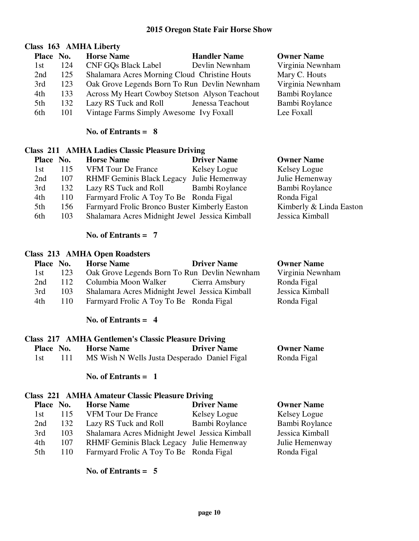# **Class 163 AMHA Liberty**

| Place No. |     | <b>Horse Name</b>                              | <b>Handler Name</b> | <b>Owner Name</b> |
|-----------|-----|------------------------------------------------|---------------------|-------------------|
| 1st       | 124 | <b>CNF GOs Black Label</b>                     | Devlin Newnham      | Virginia Newnham  |
| 2nd       | 125 | Shalamara Acres Morning Cloud Christine Houts  |                     | Mary C. Houts     |
| 3rd       | 123 | Oak Grove Legends Born To Run Devlin Newnham   |                     | Virginia Newnham  |
| 4th       | 133 | Across My Heart Cowboy Stetson Alyson Teachout |                     | Bambi Roylance    |
| 5th       | 132 | Lazy RS Tuck and Roll                          | Jenessa Teachout    | Bambi Roylance    |
| 6th       | 101 | Vintage Farms Simply Awesome Ivy Foxall        |                     | Lee Foxall        |

#### **No. of Entrants = 8**

# **Class 211 AMHA Ladies Classic Pleasure Driving**

| Place No. |     | <b>Horse Name</b>                              | <b>Driver Name</b> | <b>Owner Name</b>       |
|-----------|-----|------------------------------------------------|--------------------|-------------------------|
| 1st       | 115 | <b>VFM Tour De France</b>                      | Kelsey Logue       | Kelsey Logue            |
| 2nd       | 107 | <b>RHMF Geminis Black Legacy</b>               | Julie Hemenway     | Julie Hemenway          |
| 3rd       | 132 | Lazy RS Tuck and Roll                          | Bambi Roylance     | Bambi Roylance          |
| 4th       | 110 | Farmyard Frolic A Toy To Be Ronda Figal        |                    | Ronda Figal             |
| 5th       | 156 | Farmyard Frolic Bronco Buster Kimberly Easton  |                    | Kimberly & Linda Easton |
| 6th       | 103 | Shalamara Acres Midnight Jewel Jessica Kimball |                    | Jessica Kimball         |

### **No. of Entrants = 7**

#### **Class 213 AMHA Open Roadsters**

| Place No. |     | <b>Horse Name</b>                              | <b>Driver Name</b> | <b>Owner Name</b> |
|-----------|-----|------------------------------------------------|--------------------|-------------------|
| 1st -     | 123 | Oak Grove Legends Born To Run Devlin Newnham   |                    | Virginia Newnham  |
| 2nd       | 112 | Columbia Moon Walker Cierra Amsbury            |                    | Ronda Figal       |
| 3rd       | 103 | Shalamara Acres Midnight Jewel Jessica Kimball |                    | Jessica Kimball   |
| 4th       | 110 | Farmyard Frolic A Toy To Be Ronda Figal        |                    | Ronda Figal       |
|           |     |                                                |                    |                   |

### **No. of Entrants = 4**

# **Class 217 AMHA Gentlemen's Classic Pleasure Driving**

| Place No. | <b>Horse Name</b>                            | <b>Driver Name</b> | <b>Owner Name</b> |
|-----------|----------------------------------------------|--------------------|-------------------|
| -1 st     | MS Wish N Wells Justa Desperado Daniel Figal |                    | Ronda Figal       |

#### **No. of Entrants = 1**

#### **Class 221 AMHA Amateur Classic Pleasure Driving**

| Place No. |     | <b>Horse Name</b>                              | <b>Driver Name</b> | <b>Owner Name</b> |
|-----------|-----|------------------------------------------------|--------------------|-------------------|
| 1st       | 115 | <b>VFM Tour De France</b>                      | Kelsey Logue       | Kelsey Logue      |
| 2nd       | 132 | Lazy RS Tuck and Roll                          | Bambi Roylance     | Bambi Roylance    |
| 3rd       | 103 | Shalamara Acres Midnight Jewel Jessica Kimball |                    | Jessica Kimball   |
| 4th       | 107 | RHMF Geminis Black Legacy Julie Hemenway       |                    | Julie Hemenway    |
| 5th       | 110 | Farmyard Frolic A Toy To Be Ronda Figal        |                    | Ronda Figal       |
|           |     |                                                |                    |                   |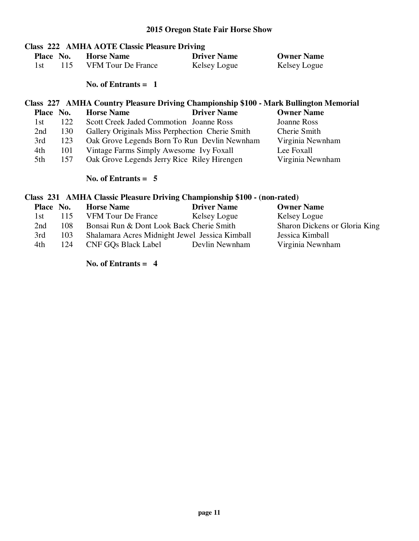# **Class 222 AMHA AOTE Classic Pleasure Driving**

| Place No. |       | <b>Horse Name</b>         | <b>Driver Name</b> | <b>Owner Name</b> |
|-----------|-------|---------------------------|--------------------|-------------------|
|           | -115- | <b>VFM</b> Tour De France | Kelsey Logue       | Kelsey Logue      |

 **No. of Entrants = 1** 

# **Class 227 AMHA Country Pleasure Driving Championship \$100 - Mark Bullington Memorial**

| Place No. |     | <b>Horse Name</b>                               | <b>Driver Name</b> | <b>Owner Name</b> |
|-----------|-----|-------------------------------------------------|--------------------|-------------------|
| 1st.      | 122 | Scott Creek Jaded Commotion Joanne Ross         |                    | Joanne Ross       |
| 2nd       | 130 | Gallery Originals Miss Perphection Cherie Smith |                    | Cherie Smith      |
| 3rd       | 123 | Oak Grove Legends Born To Run Devlin Newnham    |                    | Virginia Newnham  |
| 4th       | 101 | Vintage Farms Simply Awesome Ivy Foxall         |                    | Lee Foxall        |
| 5th       | 157 | Oak Grove Legends Jerry Rice Riley Hirengen     |                    | Virginia Newnham  |

#### **No. of Entrants = 5**

# **Class 231 AMHA Classic Pleasure Driving Championship \$100 - (non-rated)**

| Place No. |     | <b>Horse Name</b>                              | <b>Driver Name</b> | <b>Owner Name</b>             |
|-----------|-----|------------------------------------------------|--------------------|-------------------------------|
| 1st.      | 115 | <b>VFM Tour De France</b>                      | Kelsey Logue       | Kelsey Logue                  |
| 2nd       | 108 | Bonsai Run & Dont Look Back Cherie Smith       |                    | Sharon Dickens or Gloria King |
| 3rd       | 103 | Shalamara Acres Midnight Jewel Jessica Kimball |                    | Jessica Kimball               |
| 4th       | 124 | <b>CNF GQs Black Label</b>                     | Devlin Newnham     | Virginia Newnham              |
|           |     |                                                |                    |                               |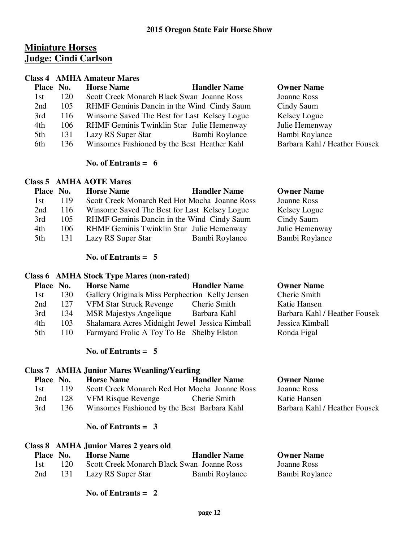# **Miniature Horses Judge: Cindi Carlson**

#### **Class 4 AMHA Amateur Mares**

| Place No. |     | <b>Horse Name</b>                           | <b>Handler Name</b>                          | <b>Owner Name</b>             |
|-----------|-----|---------------------------------------------|----------------------------------------------|-------------------------------|
| 1st       | 120 | Scott Creek Monarch Black Swan Joanne Ross  |                                              | Joanne Ross                   |
| 2nd       | 105 |                                             | RHMF Geminis Dancin in the Wind Cindy Saum   | Cindy Saum                    |
| 3rd       | 116 |                                             | Winsome Saved The Best for Last Kelsey Logue | Kelsey Logue                  |
| 4th       | 106 | RHMF Geminis Twinklin Star Julie Hemenway   |                                              | Julie Hemenway                |
| 5th       | 131 | Lazy RS Super Star                          | Bambi Roylance                               | Bambi Roylance                |
| 6th       | 136 | Winsomes Fashioned by the Best Heather Kahl |                                              | Barbara Kahl / Heather Fousek |
|           |     |                                             |                                              |                               |

#### **No. of Entrants = 6**

#### **Class 5 AMHA AOTE Mares**

| Place No. |     | <b>Horse Name</b>                             | <b>Handler Name</b> | <b>Owner Name</b> |
|-----------|-----|-----------------------------------------------|---------------------|-------------------|
| 1st       | 119 | Scott Creek Monarch Red Hot Mocha Joanne Ross |                     | Joanne Ross       |
| 2nd       | 116 | Winsome Saved The Best for Last Kelsey Logue  |                     | Kelsey Logue      |
| 3rd       | 105 | RHMF Geminis Dancin in the Wind Cindy Saum    |                     | Cindy Saum        |
| 4th       | 106 | RHMF Geminis Twinklin Star Julie Hemenway     |                     | Julie Hemenway    |
| 5th       | 131 | Lazy RS Super Star                            | Bambi Roylance      | Bambi Roylance    |

#### **No. of Entrants = 5**

#### **Class 6 AMHA Stock Type Mares (non-rated)**

| Place No. |     | <b>Horse Name</b>                               | <b>Handler Name</b> | <b>Owner Name</b>             |
|-----------|-----|-------------------------------------------------|---------------------|-------------------------------|
| 1st       | 130 | Gallery Originals Miss Perphection Kelly Jensen |                     | Cherie Smith                  |
| 2nd       | 127 | <b>VFM Star Struck Revenge</b>                  | Cherie Smith        | Katie Hansen                  |
| 3rd       | 134 | <b>MSR Majestys Angelique</b>                   | Barbara Kahl        | Barbara Kahl / Heather Fousek |
| 4th       | 103 | Shalamara Acres Midnight Jewel Jessica Kimball  |                     | Jessica Kimball               |
| 5th       | 110 | Farmyard Frolic A Toy To Be Shelby Elston       |                     | Ronda Figal                   |
|           |     |                                                 |                     |                               |

**Owner Name** Joanne Ross Katie Hansen

Barbara Kahl / Heather Fousek

#### **No. of Entrants = 5**

#### **Class 7 AMHA Junior Mares Weanling/Yearling**

| Place No. |     | <b>Horse Name</b>                             | <b>Handler Name</b> |
|-----------|-----|-----------------------------------------------|---------------------|
| -1st      | 119 | Scott Creek Monarch Red Hot Mocha Joanne Ross |                     |
| 2nd       | 128 | <b>VFM Risque Revenge</b>                     | Cherie Smith        |
| 3rd       | 136 | Winsomes Fashioned by the Best Barbara Kahl   |                     |

#### **No. of Entrants = 3**

#### **Class 8 AMHA Junior Mares 2 years old**

| Place No. |        | <b>Horse Name</b>                          | <b>Handler Name</b> | <b>Owner Name</b> |
|-----------|--------|--------------------------------------------|---------------------|-------------------|
| 1st       | 120    | Scott Creek Monarch Black Swan Joanne Ross |                     | Joanne Ross       |
| 2nd       | -131 - | Lazy RS Super Star                         | Bambi Roylance      | Bambi Roylance    |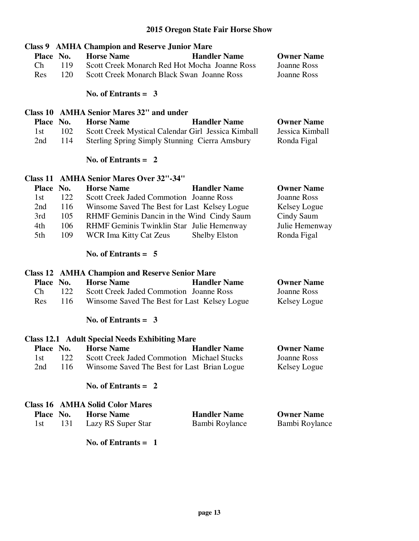|                                        | <b>Class 9 AMHA Champion and Reserve Junior Mare</b>  |                      |                    |
|----------------------------------------|-------------------------------------------------------|----------------------|--------------------|
| Place No.                              | <b>Horse Name</b>                                     | <b>Handler Name</b>  | <b>Owner Name</b>  |
| $\mathop{\mathrm{Ch}}\nolimits$<br>119 | Scott Creek Monarch Red Hot Mocha Joanne Ross         |                      | <b>Joanne Ross</b> |
| 120<br>Res                             | Scott Creek Monarch Black Swan Joanne Ross            |                      | <b>Joanne Ross</b> |
|                                        |                                                       |                      |                    |
|                                        | No. of Entrants = $3$                                 |                      |                    |
|                                        | Class 10 AMHA Senior Mares 32" and under              |                      |                    |
| Place No.                              | <b>Horse Name</b>                                     | <b>Handler Name</b>  | <b>Owner Name</b>  |
| 102<br>1st                             | Scott Creek Mystical Calendar Girl Jessica Kimball    |                      | Jessica Kimball    |
| 114<br>2nd                             | <b>Sterling Spring Simply Stunning Cierra Amsbury</b> |                      | Ronda Figal        |
|                                        | No. of Entrants $= 2$                                 |                      |                    |
|                                        | <b>Class 11 AMHA Senior Mares Over 32"-34"</b>        |                      |                    |
| Place No.                              | <b>Horse Name</b>                                     | <b>Handler Name</b>  | <b>Owner Name</b>  |
| 122<br>1st                             | Scott Creek Jaded Commotion Joanne Ross               |                      | <b>Joanne Ross</b> |
| 2nd<br>116                             | Winsome Saved The Best for Last Kelsey Logue          |                      | Kelsey Logue       |
| 3rd<br>105                             | RHMF Geminis Dancin in the Wind Cindy Saum            |                      | Cindy Saum         |
| 4th<br>106                             | RHMF Geminis Twinklin Star Julie Hemenway             |                      | Julie Hemenway     |
| 109<br>5th                             | <b>WCR Ima Kitty Cat Zeus</b>                         | <b>Shelby Elston</b> | Ronda Figal        |
|                                        | No. of Entrants $= 5$                                 |                      |                    |
|                                        | <b>Class 12 AMHA Champion and Reserve Senior Mare</b> |                      |                    |
| Place No.                              | <b>Horse Name</b>                                     | <b>Handler Name</b>  | <b>Owner Name</b>  |
| $\mathop{\mathrm{Ch}}\nolimits$<br>122 | Scott Creek Jaded Commotion Joanne Ross               |                      | <b>Joanne Ross</b> |
| 116<br>Res                             | Winsome Saved The Best for Last Kelsey Logue          |                      | Kelsey Logue       |
|                                        | No. of Entrants = $3$                                 |                      |                    |
|                                        | <b>Class 12.1 Adult Special Needs Exhibiting Mare</b> |                      |                    |
| Place No.                              | <b>Horse Name</b>                                     | <b>Handler Name</b>  | <b>Owner Name</b>  |
| 122<br>1st                             | Scott Creek Jaded Commotion Michael Stucks            |                      | Joanne Ross        |
| 116<br>2nd                             | Winsome Saved The Best for Last Brian Logue           |                      | Kelsey Logue       |
|                                        |                                                       |                      |                    |
|                                        | No. of Entrants $= 2$                                 |                      |                    |
|                                        | <b>Class 16 AMHA Solid Color Mares</b>                |                      |                    |
| <b>Place</b><br>No.                    | <b>Horse Name</b>                                     | <b>Handler Name</b>  | <b>Owner Name</b>  |
| 1st<br>131                             | Lazy RS Super Star                                    | Bambi Roylance       | Bambi Roylance     |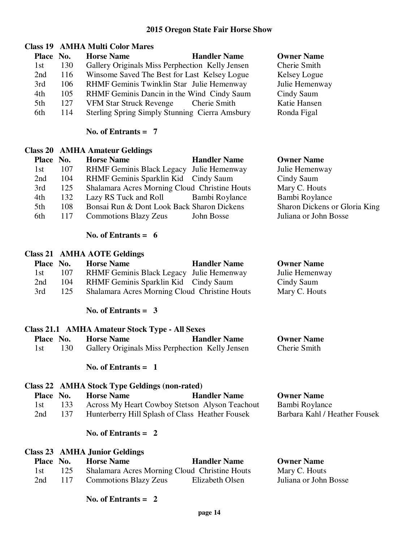# **Class 19 AMHA Multi Color Mares**

| Place No. |     | <b>Horse Name</b>                               | <b>Handler Name</b> | <b>Owner Name</b> |
|-----------|-----|-------------------------------------------------|---------------------|-------------------|
| 1st       | 130 | Gallery Originals Miss Perphection Kelly Jensen |                     | Cherie Smith      |
| 2nd       | 116 | Winsome Saved The Best for Last Kelsey Logue    |                     | Kelsey Logue      |
| 3rd       | 106 | RHMF Geminis Twinklin Star Julie Hemenway       |                     | Julie Hemenway    |
| 4th       | 105 | RHMF Geminis Dancin in the Wind Cindy Saum      |                     | Cindy Saum        |
| 5th       | 127 | <b>VFM Star Struck Revenge</b>                  | Cherie Smith        | Katie Hansen      |
| 6th       | 114 | Sterling Spring Simply Stunning Cierra Amsbury  |                     | Ronda Figal       |

#### **No. of Entrants = 7**

#### **Class 20 AMHA Amateur Geldings**

| Place No. |     | <b>Horse Name</b>                             | <b>Handler Name</b> | <b>Owner Name</b>             |
|-----------|-----|-----------------------------------------------|---------------------|-------------------------------|
| 1st       | 107 | RHMF Geminis Black Legacy Julie Hemenway      |                     | Julie Hemenway                |
| 2nd       | 104 | RHMF Geminis Sparklin Kid Cindy Saum          |                     | Cindy Saum                    |
| 3rd       | 125 | Shalamara Acres Morning Cloud Christine Houts |                     | Mary C. Houts                 |
| 4th       | 132 | Lazy RS Tuck and Roll Bambi Roylance          |                     | Bambi Roylance                |
| 5th       | 108 | Bonsai Run & Dont Look Back Sharon Dickens    |                     | Sharon Dickens or Gloria King |
| 6th       | 117 | <b>Commotions Blazy Zeus</b>                  | John Bosse          | Juliana or John Bosse         |

#### **No. of Entrants = 6**

# **Class 21 AMHA AOTE Geldings**

| Place No. |     | <b>Horse Name</b>                             | <b>Handler Name</b> | <b>Owner Name</b> |
|-----------|-----|-----------------------------------------------|---------------------|-------------------|
| 1st -     | 107 | RHMF Geminis Black Legacy Julie Hemenway      |                     | Julie Hemenway    |
| 2nd       | 104 | RHMF Geminis Sparklin Kid Cindy Saum          |                     | Cindy Saum        |
| 3rd       | 125 | Shalamara Acres Morning Cloud Christine Houts |                     | Mary C. Houts     |

 **No. of Entrants = 3** 

|                  |     | Class 21.1 AMHA Amateur Stock Type - All Sexes  |                     |                   |
|------------------|-----|-------------------------------------------------|---------------------|-------------------|
| <b>Place No.</b> |     | <b>Horse Name</b>                               | <b>Handler Name</b> | <b>Owner Name</b> |
|                  | 130 | Gallery Originals Miss Perphection Kelly Jensen |                     | Cherie Smith      |

#### **No. of Entrants = 1**

# **Class 22 AMHA Stock Type Geldings (non-rated)**

| Place No. |     | <b>Horse Name</b>                               | <b>Handler Name</b> | <b>Owner Name</b>             |
|-----------|-----|-------------------------------------------------|---------------------|-------------------------------|
| 1st       | 133 | Across My Heart Cowboy Stetson Alyson Teachout  |                     | Bambi Roylance                |
| 2nd       |     | Hunterberry Hill Splash of Class Heather Fousek |                     | Barbara Kahl / Heather Fousek |

# **No. of Entrants = 2**

|           |     | <b>Class 23 AMHA Junior Geldings</b> |                                               |                       |
|-----------|-----|--------------------------------------|-----------------------------------------------|-----------------------|
| Place No. |     | <b>Horse Name</b>                    | <b>Handler Name</b>                           | <b>Owner Name</b>     |
| 1st -     | 125 |                                      | Shalamara Acres Morning Cloud Christine Houts | Mary C. Houts         |
| 2nd       | 117 | <b>Commotions Blazy Zeus</b>         | Elizabeth Olsen                               | Juliana or John Bosse |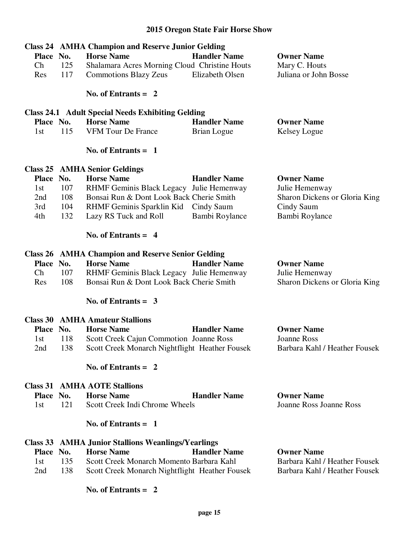| Place No.<br>Ch<br>Res | 125<br>117 | <b>Class 24 AMHA Champion and Reserve Junior Gelding</b><br><b>Horse Name</b><br>Shalamara Acres Morning Cloud Christine Houts<br><b>Commotions Blazy Zeus</b><br>No. of Entrants $= 2$ | <b>Handler Name</b><br>Elizabeth Olsen | <b>Owner Name</b><br>Mary C. Houts<br>Juliana or John Bosse |
|------------------------|------------|-----------------------------------------------------------------------------------------------------------------------------------------------------------------------------------------|----------------------------------------|-------------------------------------------------------------|
|                        |            | <b>Class 24.1 Adult Special Needs Exhibiting Gelding</b>                                                                                                                                |                                        |                                                             |
| Place No.              |            | <b>Horse Name</b>                                                                                                                                                                       | <b>Handler Name</b>                    | <b>Owner Name</b>                                           |
| 1st                    | 115        | <b>VFM Tour De France</b>                                                                                                                                                               | Brian Logue                            | Kelsey Logue                                                |
|                        |            | No. of Entrants $= 1$                                                                                                                                                                   |                                        |                                                             |
|                        |            | <b>Class 25 AMHA Senior Geldings</b>                                                                                                                                                    |                                        |                                                             |
| Place No.              |            | <b>Horse Name</b>                                                                                                                                                                       | <b>Handler Name</b>                    | <b>Owner Name</b>                                           |
| 1st                    | 107        | RHMF Geminis Black Legacy Julie Hemenway                                                                                                                                                |                                        | Julie Hemenway                                              |
| 2nd                    | 108        | Bonsai Run & Dont Look Back Cherie Smith                                                                                                                                                |                                        | Sharon Dickens or Gloria King                               |
| 3rd                    | 104        | RHMF Geminis Sparklin Kid Cindy Saum                                                                                                                                                    |                                        | Cindy Saum                                                  |
| 4th                    | 132        | Lazy RS Tuck and Roll                                                                                                                                                                   | Bambi Roylance                         | Bambi Roylance                                              |
|                        |            | No. of Entrants $= 4$                                                                                                                                                                   |                                        |                                                             |
|                        |            | <b>Class 26 AMHA Champion and Reserve Senior Gelding</b>                                                                                                                                |                                        |                                                             |
| Place No.              |            | <b>Horse Name</b>                                                                                                                                                                       | <b>Handler Name</b>                    | <b>Owner Name</b>                                           |
| Ch                     | 107        | RHMF Geminis Black Legacy Julie Hemenway                                                                                                                                                |                                        | Julie Hemenway                                              |
| Res                    | 108        | Bonsai Run & Dont Look Back Cherie Smith                                                                                                                                                |                                        | Sharon Dickens or Gloria King                               |
|                        |            | No. of Entrants = $3$                                                                                                                                                                   |                                        |                                                             |
|                        |            | <b>Class 30 AMHA Amateur Stallions</b>                                                                                                                                                  |                                        |                                                             |
| Place No.              |            | <b>Horse Name</b>                                                                                                                                                                       | <b>Handler Name</b>                    | <b>Owner Name</b>                                           |
| 1st                    | 118        | Scott Creek Cajun Commotion Joanne Ross                                                                                                                                                 |                                        | Joanne Ross                                                 |
| 2nd                    | 138        | Scott Creek Monarch Nightflight Heather Fousek                                                                                                                                          |                                        | Barbara Kahl / Heather Fousek                               |
|                        |            | No. of Entrants $= 2$                                                                                                                                                                   |                                        |                                                             |
|                        |            | <b>Class 31 AMHA AOTE Stallions</b>                                                                                                                                                     |                                        |                                                             |
| Place No.              |            | <b>Horse Name</b>                                                                                                                                                                       | <b>Handler Name</b>                    | <b>Owner Name</b>                                           |
| 1st                    | 121        | Scott Creek Indi Chrome Wheels                                                                                                                                                          |                                        | <b>Joanne Ross Joanne Ross</b>                              |
|                        |            | No. of Entrants $= 1$                                                                                                                                                                   |                                        |                                                             |
|                        |            | <b>Class 33 AMHA Junior Stallions Weanlings/Yearlings</b>                                                                                                                               |                                        |                                                             |
| Place No.              |            | <b>Horse Name</b>                                                                                                                                                                       | <b>Handler Name</b>                    | <b>Owner Name</b>                                           |
| 1st                    | 135        | Scott Creek Monarch Momento Barbara Kahl                                                                                                                                                |                                        | Barbara Kahl / Heather Fousek                               |
| 2nd                    | 138        | Scott Creek Monarch Nightflight Heather Fousek                                                                                                                                          |                                        | Barbara Kahl / Heather Fousek                               |
|                        |            | No. of Entrants $= 2$                                                                                                                                                                   |                                        |                                                             |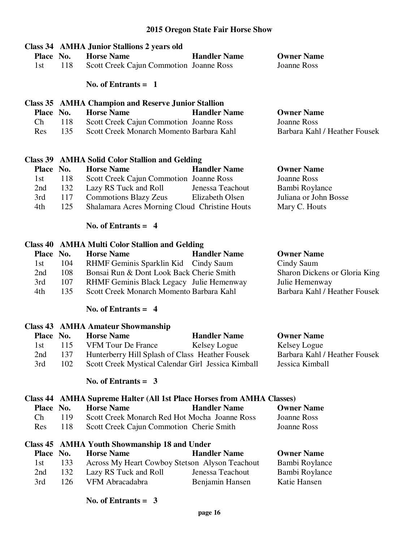| Place No.<br>1st | 118 | Class 34 AMHA Junior Stallions 2 years old<br><b>Horse Name</b><br>Scott Creek Cajun Commotion Joanne Ross<br>No. of Entrants $= 1$ | <b>Handler Name</b> | <b>Owner Name</b><br>Joanne Ross |
|------------------|-----|-------------------------------------------------------------------------------------------------------------------------------------|---------------------|----------------------------------|
|                  |     | <b>Class 35 AMHA Champion and Reserve Junior Stallion</b>                                                                           |                     |                                  |
| Place No.        |     | <b>Horse Name</b>                                                                                                                   | <b>Handler Name</b> | <b>Owner Name</b>                |
| Ch               | 118 | Scott Creek Cajun Commotion Joanne Ross                                                                                             |                     | <b>Joanne Ross</b>               |
| Res              | 135 | Scott Creek Monarch Momento Barbara Kahl                                                                                            |                     | Barbara Kahl / Heather Fousek    |
|                  |     |                                                                                                                                     |                     |                                  |
|                  |     | Class 39 AMHA Solid Color Stallion and Gelding                                                                                      |                     |                                  |
| Place No.        |     | <b>Horse Name</b>                                                                                                                   | <b>Handler Name</b> | <b>Owner Name</b>                |
| 1st              | 118 | Scott Creek Cajun Commotion Joanne Ross                                                                                             |                     | Joanne Ross                      |
| 2nd              | 132 | Lazy RS Tuck and Roll                                                                                                               | Jenessa Teachout    | Bambi Roylance                   |
| 3rd              | 117 | <b>Commotions Blazy Zeus</b>                                                                                                        | Elizabeth Olsen     | Juliana or John Bosse            |

#### **No. of Entrants = 4**

#### **Class 40 AMHA Multi Color Stallion and Gelding**

| Place No. |     | <b>Horse Name</b>                        | <b>Handler Name</b> | <b>Owner Name</b>             |
|-----------|-----|------------------------------------------|---------------------|-------------------------------|
| 1st       | 104 | RHMF Geminis Sparklin Kid Cindy Saum     |                     | Cindy Saum                    |
| 2nd       | 108 | Bonsai Run & Dont Look Back Cherie Smith |                     | Sharon Dickens or Gloria King |
| 3rd       | 107 | RHMF Geminis Black Legacy Julie Hemenway |                     | Julie Hemenway                |
| 4th       | 135 | Scott Creek Monarch Momento Barbara Kahl |                     | Barbara Kahl / Heather Fousek |
|           |     |                                          |                     |                               |

4th 125 Shalamara Acres Morning Cloud Christine Houts Mary C. Houts

#### **No. of Entrants = 4**

|           |     | <b>Class 43 AMHA Amateur Showmanship</b>           |                     |                               |
|-----------|-----|----------------------------------------------------|---------------------|-------------------------------|
| Place No. |     | <b>Horse Name</b>                                  | <b>Handler Name</b> | <b>Owner Name</b>             |
| 1st.      | 115 | <b>VFM Tour De France</b>                          | Kelsey Logue        | Kelsey Logue                  |
| 2nd       | 137 | Hunterberry Hill Splash of Class Heather Fousek    |                     | Barbara Kahl / Heather Fousek |
| 3rd       | 102 | Scott Creek Mystical Calendar Girl Jessica Kimball |                     | Jessica Kimball               |

# **No. of Entrants = 3**

# **Class 44 AMHA Supreme Halter (All 1st Place Horses from AMHA Classes)**

|                           | Place No. | <b>Horse Name</b>                             | <b>Handler Name</b> | <b>Owner Name</b> |
|---------------------------|-----------|-----------------------------------------------|---------------------|-------------------|
| $\mathsf{C}^{\mathsf{h}}$ | 119       | Scott Creek Monarch Red Hot Mocha Joanne Ross |                     | Joanne Ross       |
| Res                       | 118.      | Scott Creek Cajun Commotion Cherie Smith      |                     | Joanne Ross       |

#### **Class 45 AMHA Youth Showmanship 18 and Under**

| Place No. |      | <b>Horse Name</b>                              | <b>Handler Name</b> | <b>Owner Name</b> |
|-----------|------|------------------------------------------------|---------------------|-------------------|
| 1st.      | 133  | Across My Heart Cowboy Stetson Alyson Teachout |                     | Bambi Roylance    |
| 2nd       | 132  | Lazy RS Tuck and Roll                          | Jenessa Teachout    | Bambi Roylance    |
| 3rd       | 126. | VFM Abracadabra                                | Benjamin Hansen     | Katie Hansen      |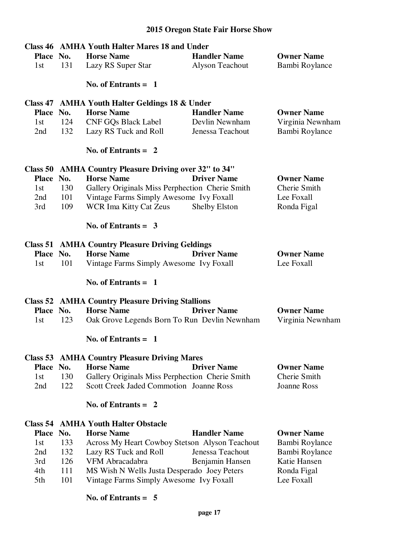| Class 46 AMHA Youth Halter Mares 18 and Under |     |                                                         |                        |                    |
|-----------------------------------------------|-----|---------------------------------------------------------|------------------------|--------------------|
| Place No.                                     |     | <b>Horse Name</b>                                       | <b>Handler Name</b>    | <b>Owner Name</b>  |
| 1st                                           | 131 | Lazy RS Super Star                                      | <b>Alyson Teachout</b> | Bambi Roylance     |
|                                               |     | No. of Entrants $= 1$                                   |                        |                    |
|                                               |     | Class 47 AMHA Youth Halter Geldings 18 & Under          |                        |                    |
| Place No.                                     |     | <b>Horse Name</b>                                       | <b>Handler Name</b>    | <b>Owner Name</b>  |
| 1st                                           | 124 | <b>CNF GQs Black Label</b>                              | Devlin Newnham         | Virginia Newnham   |
| 2nd                                           | 132 | Lazy RS Tuck and Roll                                   | Jenessa Teachout       | Bambi Roylance     |
|                                               |     | No. of Entrants $= 2$                                   |                        |                    |
| Class 50                                      |     | <b>AMHA Country Pleasure Driving over 32" to 34"</b>    |                        |                    |
| Place No.                                     |     | <b>Horse Name</b>                                       | <b>Driver Name</b>     | <b>Owner Name</b>  |
| 1st                                           | 130 | Gallery Originals Miss Perphection Cherie Smith         |                        | Cherie Smith       |
| 2nd                                           | 101 | Vintage Farms Simply Awesome Ivy Foxall                 |                        | Lee Foxall         |
| 3rd                                           | 109 | <b>WCR Ima Kitty Cat Zeus</b>                           | Shelby Elston          | Ronda Figal        |
|                                               |     |                                                         |                        |                    |
|                                               |     | No. of Entrants $=$ 3                                   |                        |                    |
|                                               |     | <b>Class 51 AMHA Country Pleasure Driving Geldings</b>  |                        |                    |
| Place No.                                     |     | <b>Horse Name</b>                                       | <b>Driver Name</b>     | <b>Owner Name</b>  |
| 1st                                           | 101 | Vintage Farms Simply Awesome Ivy Foxall                 |                        | Lee Foxall         |
|                                               |     | No. of Entrants $= 1$                                   |                        |                    |
|                                               |     | <b>Class 52 AMHA Country Pleasure Driving Stallions</b> |                        |                    |
| Place No.                                     |     | <b>Horse Name</b>                                       | <b>Driver Name</b>     | <b>Owner Name</b>  |
| 1st                                           | 123 | Oak Grove Legends Born To Run Devlin Newnham            |                        | Virginia Newnham   |
|                                               |     | No. of Entrants $= 1$                                   |                        |                    |
| Class 53                                      |     | <b>AMHA Country Pleasure Driving Mares</b>              |                        |                    |
| Place No.                                     |     | <b>Horse Name</b>                                       | <b>Driver Name</b>     | <b>Owner Name</b>  |
| 1st                                           | 130 | Gallery Originals Miss Perphection Cherie Smith         |                        | Cherie Smith       |
| 2nd                                           | 122 | <b>Scott Creek Jaded Commotion Joanne Ross</b>          |                        | <b>Joanne Ross</b> |
|                                               |     | No. of Entrants $= 2$                                   |                        |                    |
| Class 54                                      |     | <b>AMHA Youth Halter Obstacle</b>                       |                        |                    |
| Place No.                                     |     | <b>Horse Name</b>                                       | <b>Handler Name</b>    | <b>Owner Name</b>  |
| 1st                                           | 133 | Across My Heart Cowboy Stetson Alyson Teachout          |                        | Bambi Roylance     |
| 2nd                                           | 132 | Lazy RS Tuck and Roll                                   | Jenessa Teachout       | Bambi Roylance     |
| 3rd                                           | 126 | VFM Abracadabra                                         | Benjamin Hansen        | Katie Hansen       |
| 4th                                           | 111 | MS Wish N Wells Justa Desperado Joey Peters             |                        | Ronda Figal        |
| 5th                                           | 101 | Vintage Farms Simply Awesome Ivy Foxall                 |                        | Lee Foxall         |
|                                               |     | No. of Entrants = $5$                                   |                        |                    |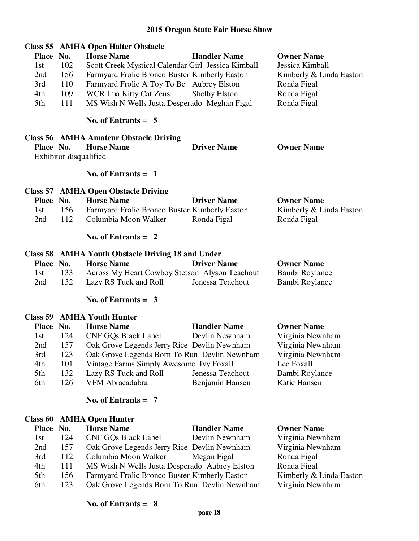| Place No.<br>1st<br>2nd<br>3rd<br>4th<br>5th | 102<br>156<br>110<br>109<br>111        | <b>Class 55 AMHA Open Halter Obstacle</b><br><b>Horse Name</b><br>Scott Creek Mystical Calendar Girl Jessica Kimball<br>Farmyard Frolic Bronco Buster Kimberly Easton<br>Farmyard Frolic A Toy To Be Aubrey Elston<br>WCR Ima Kitty Cat Zeus<br>MS Wish N Wells Justa Desperado Meghan Figal<br>No. of Entrants $= 5$ | <b>Handler Name</b><br><b>Shelby Elston</b>               | <b>Owner Name</b><br>Jessica Kimball<br>Kimberly & Linda Easton<br>Ronda Figal<br>Ronda Figal<br>Ronda Figal  |
|----------------------------------------------|----------------------------------------|-----------------------------------------------------------------------------------------------------------------------------------------------------------------------------------------------------------------------------------------------------------------------------------------------------------------------|-----------------------------------------------------------|---------------------------------------------------------------------------------------------------------------|
|                                              |                                        |                                                                                                                                                                                                                                                                                                                       |                                                           |                                                                                                               |
| Place No.                                    | Exhibitor disqualified                 | <b>Class 56 AMHA Amateur Obstacle Driving</b><br><b>Horse Name</b>                                                                                                                                                                                                                                                    | <b>Driver Name</b>                                        | <b>Owner Name</b>                                                                                             |
|                                              |                                        | No. of Entrants $= 1$                                                                                                                                                                                                                                                                                                 |                                                           |                                                                                                               |
| Place No.<br>1st<br>2nd                      | 156<br>112                             | <b>Class 57 AMHA Open Obstacle Driving</b><br><b>Horse Name</b><br>Farmyard Frolic Bronco Buster Kimberly Easton<br>Columbia Moon Walker                                                                                                                                                                              | <b>Driver Name</b><br>Ronda Figal                         | <b>Owner Name</b><br>Kimberly & Linda Easton<br>Ronda Figal                                                   |
|                                              |                                        | No. of Entrants $= 2$                                                                                                                                                                                                                                                                                                 |                                                           |                                                                                                               |
| Place No.<br>1st<br>2nd                      | 133<br>132                             | Class 58 AMHA Youth Obstacle Driving 18 and Under<br><b>Horse Name</b><br>Across My Heart Cowboy Stetson Alyson Teachout<br>Lazy RS Tuck and Roll                                                                                                                                                                     | <b>Driver Name</b><br>Jenessa Teachout                    | <b>Owner Name</b><br>Bambi Roylance<br>Bambi Roylance                                                         |
|                                              |                                        | No. of Entrants $=$ 3                                                                                                                                                                                                                                                                                                 |                                                           |                                                                                                               |
| Place No.<br>1st<br>2nd<br>3rd<br>4th<br>5th | 124<br>157<br>123<br>101<br>132<br>126 | <b>Class 59 AMHA Youth Hunter</b><br><b>Horse Name</b><br><b>CNF GQs Black Label</b><br>Oak Grove Legends Jerry Rice Devlin Newnham<br>Oak Grove Legends Born To Run Devlin Newnham<br>Vintage Farms Simply Awesome Ivy Foxall<br>Lazy RS Tuck and Roll<br>VFM Abracadabra                                            | <b>Handler Name</b><br>Devlin Newnham<br>Jenessa Teachout | <b>Owner Name</b><br>Virginia Newnham<br>Virginia Newnham<br>Virginia Newnham<br>Lee Foxall<br>Bambi Roylance |
| 6th                                          |                                        |                                                                                                                                                                                                                                                                                                                       | Benjamin Hansen                                           | Katie Hansen                                                                                                  |
|                                              |                                        | No. of Entrants $= 7$                                                                                                                                                                                                                                                                                                 |                                                           |                                                                                                               |
|                                              |                                        | <b>Class 60 AMHA Open Hunter</b>                                                                                                                                                                                                                                                                                      |                                                           |                                                                                                               |
| Place No.<br>1st                             | 124                                    | <b>Horse Name</b><br><b>CNF GQs Black Label</b>                                                                                                                                                                                                                                                                       | <b>Handler Name</b><br>Devlin Newnham                     | <b>Owner Name</b><br>Virginia Newnham                                                                         |

2nd 157 Oak Grove Legends Jerry Rice Devlin Newnham Virginia Newnham<br>3rd 112 Columbia Moon Walker Megan Figal Ronda Figal 3rd 112 Columbia Moon Walker Megan Figal Ronda Figal<br>4th 111 MS Wish N Wells Justa Desperado Aubrey Elston Ronda Figal 4th 111 MS Wish N Wells Justa Desperado Aubrey Elston Ronda Figal<br>5th 156 Farmyard Frolic Bronco Buster Kimberly Easton Kimberly & Linda Easton 5th 156 Farmyard Frolic Bronco Buster Kimberly Easton Kimberly & Linda I<br>6th 123 Oak Grove Legends Born To Run Devlin Newnham Virginia Newnham

#### **No. of Entrants = 8**

6th 123 Oak Grove Legends Born To Run Devlin Newnham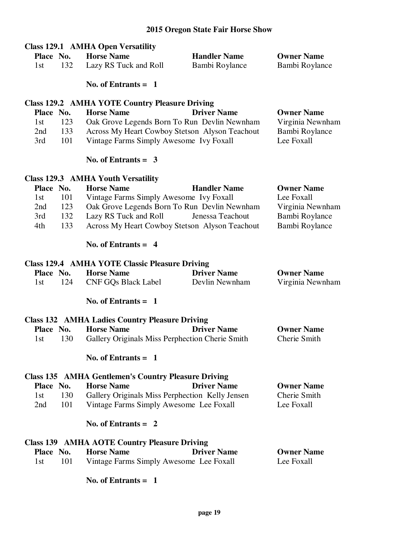|           |     | <b>Class 129.1 AMHA Open Versatility</b>                   |                     |                   |
|-----------|-----|------------------------------------------------------------|---------------------|-------------------|
| Place No. |     | <b>Horse Name</b>                                          | <b>Handler Name</b> | <b>Owner Name</b> |
| 1st       | 132 | Lazy RS Tuck and Roll                                      | Bambi Roylance      | Bambi Roylance    |
|           |     | No. of Entrants $= 1$                                      |                     |                   |
|           |     | <b>Class 129.2 AMHA YOTE Country Pleasure Driving</b>      |                     |                   |
| Place No. |     | <b>Horse Name</b>                                          | <b>Driver Name</b>  | <b>Owner Name</b> |
| 1st       | 123 | Oak Grove Legends Born To Run Devlin Newnham               |                     | Virginia Newnham  |
| 2nd       | 133 | Across My Heart Cowboy Stetson Alyson Teachout             |                     | Bambi Roylance    |
| 3rd       | 101 | Vintage Farms Simply Awesome Ivy Foxall                    |                     | Lee Foxall        |
|           |     | No. of Entrants $=$ 3                                      |                     |                   |
|           |     | <b>Class 129.3 AMHA Youth Versatility</b>                  |                     |                   |
| Place No. |     | <b>Horse Name</b>                                          | <b>Handler Name</b> | <b>Owner Name</b> |
| 1st       | 101 | Vintage Farms Simply Awesome Ivy Foxall                    |                     | Lee Foxall        |
| 2nd       | 123 | Oak Grove Legends Born To Run Devlin Newnham               |                     | Virginia Newnham  |
| 3rd       | 132 | Lazy RS Tuck and Roll                                      | Jenessa Teachout    | Bambi Roylance    |
| 4th       | 133 | Across My Heart Cowboy Stetson Alyson Teachout             |                     | Bambi Roylance    |
|           |     | No. of Entrants $= 4$                                      |                     |                   |
|           |     | <b>Class 129.4 AMHA YOTE Classic Pleasure Driving</b>      |                     |                   |
| Place No. |     | <b>Horse Name</b>                                          | <b>Driver Name</b>  | <b>Owner Name</b> |
| 1st       | 124 | <b>CNF GQs Black Label</b>                                 | Devlin Newnham      | Virginia Newnham  |
|           |     | No. of Entrants $= 1$                                      |                     |                   |
|           |     | <b>Class 132 AMHA Ladies Country Pleasure Driving</b>      |                     |                   |
| Place No. |     | <b>Horse Name</b>                                          | <b>Driver Name</b>  | <b>Owner Name</b> |
| 1st       | 130 | Gallery Originals Miss Perphection Cherie Smith            |                     | Cherie Smith      |
|           |     | No. of Entrants $= 1$                                      |                     |                   |
|           |     | <b>Class 135 AMHA Gentlemen's Country Pleasure Driving</b> |                     |                   |
| Place No. |     | <b>Horse Name</b>                                          | <b>Driver Name</b>  | <b>Owner Name</b> |
| 1st       | 130 | Gallery Originals Miss Perphection Kelly Jensen            |                     | Cherie Smith      |
| 2nd       | 101 | Vintage Farms Simply Awesome Lee Foxall                    |                     | Lee Foxall        |
|           |     | No. of Entrants $= 2$                                      |                     |                   |
|           |     | <b>Class 139 AMHA AOTE Country Pleasure Driving</b>        |                     |                   |
| Place No. |     | <b>Horse Name</b>                                          | <b>Driver Name</b>  | <b>Owner Name</b> |
| 1st       | 101 | Vintage Farms Simply Awesome Lee Foxall                    |                     | Lee Foxall        |
|           |     | No. of Entrants $= 1$                                      |                     |                   |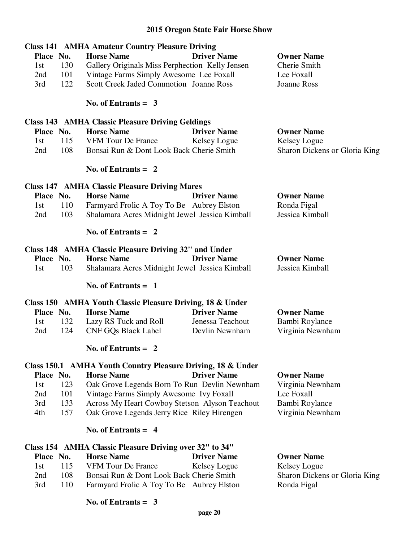|            | <b>Class 141 AMHA Amateur Country Pleasure Driving</b>      |                    |                               |
|------------|-------------------------------------------------------------|--------------------|-------------------------------|
| Place No.  | <b>Horse Name</b>                                           | <b>Driver Name</b> | <b>Owner Name</b>             |
| 130<br>1st | Gallery Originals Miss Perphection Kelly Jensen             |                    | Cherie Smith                  |
| 101<br>2nd | Vintage Farms Simply Awesome Lee Foxall                     |                    | Lee Foxall                    |
| 122<br>3rd | <b>Scott Creek Jaded Commotion Joanne Ross</b>              |                    | <b>Joanne Ross</b>            |
|            | No. of Entrants $=$ 3                                       |                    |                               |
|            | <b>Class 143 AMHA Classic Pleasure Driving Geldings</b>     |                    |                               |
| Place No.  | <b>Horse Name</b>                                           | <b>Driver Name</b> | <b>Owner Name</b>             |
| 115<br>1st | <b>VFM Tour De France</b>                                   | Kelsey Logue       | Kelsey Logue                  |
| 108<br>2nd | Bonsai Run & Dont Look Back Cherie Smith                    |                    | Sharon Dickens or Gloria King |
|            | No. of Entrants $= 2$                                       |                    |                               |
|            | <b>Class 147 AMHA Classic Pleasure Driving Mares</b>        |                    |                               |
| Place No.  | <b>Horse Name</b>                                           | <b>Driver Name</b> | <b>Owner Name</b>             |
| 110<br>1st | Farmyard Frolic A Toy To Be Aubrey Elston                   |                    | Ronda Figal                   |
| 103<br>2nd | Shalamara Acres Midnight Jewel Jessica Kimball              |                    | Jessica Kimball               |
|            | No. of Entrants $= 2$                                       |                    |                               |
|            | Class 148 AMHA Classic Pleasure Driving 32" and Under       |                    |                               |
| Place No.  | <b>Horse Name</b>                                           | <b>Driver Name</b> | <b>Owner Name</b>             |
| 103<br>1st | Shalamara Acres Midnight Jewel Jessica Kimball              |                    | Jessica Kimball               |
|            | No. of Entrants $= 1$                                       |                    |                               |
|            | Class 150 AMHA Youth Classic Pleasure Driving, 18 & Under   |                    |                               |
| Place No.  | <b>Horse Name</b>                                           | <b>Driver Name</b> | <b>Owner Name</b>             |
| 132<br>1st | Lazy RS Tuck and Roll                                       | Jenessa Teachout   | Bambi Roylance                |
| 124<br>2nd | <b>CNF GQs Black Label</b>                                  | Devlin Newnham     | Virginia Newnham              |
|            | No. of Entrants = $2$                                       |                    |                               |
|            | Class 150.1 AMHA Youth Country Pleasure Driving, 18 & Under |                    |                               |
| Place No.  | <b>Horse Name</b>                                           | <b>Driver Name</b> | <b>Owner Name</b>             |
| 123<br>1st | Oak Grove Legends Born To Run Devlin Newnham                |                    | Virginia Newnham              |
| 101<br>2nd | Vintage Farms Simply Awesome Ivy Foxall                     |                    | Lee Foxall                    |
| 133<br>3rd | Across My Heart Cowboy Stetson Alyson Teachout              |                    | Bambi Roylance                |
| 157<br>4th | Oak Grove Legends Jerry Rice Riley Hirengen                 |                    | Virginia Newnham              |
|            | No. of Entrants $= 4$                                       |                    |                               |
|            | Class 154 AMHA Classic Pleasure Driving over 32" to 34"     |                    |                               |
| Place No.  | <b>Horse Name</b>                                           | <b>Driver Name</b> | <b>Owner Name</b>             |

1st 115 VFM Tour De France Kelsey Logue Kelsey Logue<br>
2nd 108 Bonsai Run & Dont Look Back Cherie Smith Sharon Dickens or Gloria King 3rd 110 Farmyard Frolic A Toy To Be Aubrey Elston Ronda Figal

#### **No. of Entrants = 3**

2nd 108 Bonsai Run & Dont Look Back Cherie Smith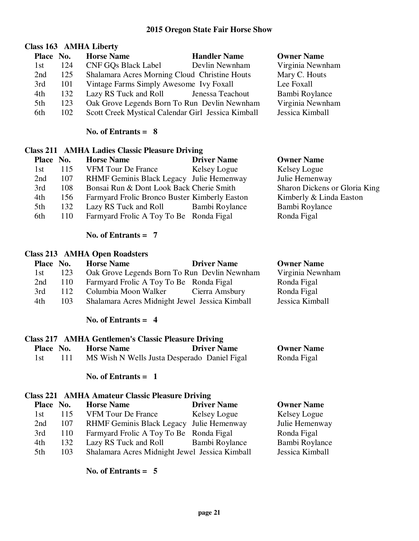# **Class 163 AMHA Liberty**

| Place No. |     | <b>Horse Name</b>                                  | <b>Handler Name</b> | <b>Owner Name</b> |
|-----------|-----|----------------------------------------------------|---------------------|-------------------|
| 1st       | 124 | <b>CNF GOs Black Label</b>                         | Devlin Newnham      | Virginia Newnham  |
| 2nd       | 125 | Shalamara Acres Morning Cloud Christine Houts      |                     | Mary C. Houts     |
| 3rd       | 101 | Vintage Farms Simply Awesome Ivy Foxall            |                     | Lee Foxall        |
| 4th       | 132 | Lazy RS Tuck and Roll Jenessa Teachout             |                     | Bambi Roylance    |
| 5th       | 123 | Oak Grove Legends Born To Run Devlin Newnham       |                     | Virginia Newnham  |
| 6th       | 102 | Scott Creek Mystical Calendar Girl Jessica Kimball |                     | Jessica Kimball   |

#### **No. of Entrants = 8**

#### **Class 211 AMHA Ladies Classic Pleasure Driving**

| <b>Owner Name</b>                                                        |
|--------------------------------------------------------------------------|
| Kelsey Logue                                                             |
| Julie Hemenway<br>RHMF Geminis Black Legacy Julie Hemenway               |
| Sharon Dickens or Gloria King                                            |
| Kimberly & Linda Easton<br>Farmyard Frolic Bronco Buster Kimberly Easton |
| Bambi Roylance<br>Lazy RS Tuck and Roll Bambi Roylance                   |
| Ronda Figal                                                              |
|                                                                          |

### **No. of Entrants = 7**

## **Class 213 AMHA Open Roadsters**

| Place No. |     | <b>Horse Name</b>                              | <b>Driver Name</b> | <b>Owner Name</b> |
|-----------|-----|------------------------------------------------|--------------------|-------------------|
| 1st       | 123 | Oak Grove Legends Born To Run Devlin Newnham   |                    | Virginia Newnham  |
| 2nd       | 110 | Farmyard Frolic A Toy To Be Ronda Figal        |                    | Ronda Figal       |
| 3rd       | 112 | Columbia Moon Walker                           | Cierra Amsbury     | Ronda Figal       |
| 4th       | 103 | Shalamara Acres Midnight Jewel Jessica Kimball |                    | Jessica Kimball   |

### **No. of Entrants = 4**

# **Class 217 AMHA Gentlemen's Classic Pleasure Driving**

| Place No. | <b>Horse Name</b>                            | <b>Driver Name</b> | <b>Owner Name</b> |
|-----------|----------------------------------------------|--------------------|-------------------|
| -1 st     | MS Wish N Wells Justa Desperado Daniel Figal |                    | Ronda Figal       |

#### **No. of Entrants = 1**

#### **Class 221 AMHA Amateur Classic Pleasure Driving**

| Place No. |     | <b>Horse Name</b>                              | <b>Driver Name</b>    | <b>Owner Name</b> |
|-----------|-----|------------------------------------------------|-----------------------|-------------------|
| 1st       | 115 | <b>VFM Tour De France</b>                      | Kelsey Logue          | Kelsey Logue      |
| 2nd       | 107 | RHMF Geminis Black Legacy Julie Hemenway       |                       | Julie Hemenway    |
| 3rd       | 110 | Farmyard Frolic A Toy To Be Ronda Figal        |                       | Ronda Figal       |
| 4th       | 132 | Lazy RS Tuck and Roll                          | <b>Bambi Roylance</b> | Bambi Roylance    |
| 5th       | 103 | Shalamara Acres Midnight Jewel Jessica Kimball |                       | Jessica Kimball   |
|           |     |                                                |                       |                   |